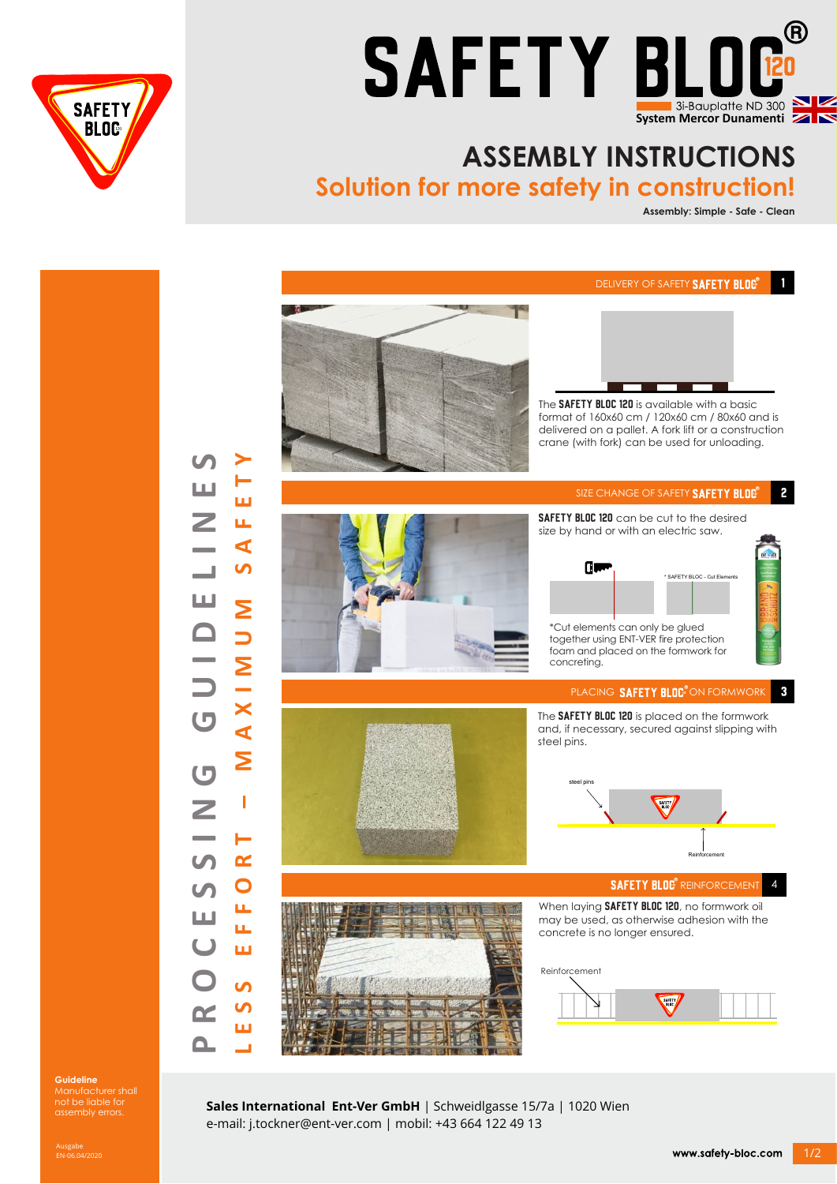



## **ASSEMBLY INSTRUCTIONS**

**Solution for more safety in construction!**

**Assembly: Simple - Safe - Clean**

 $\blacksquare$ 

DELIVERY OF SAFETY **SAFETY BLOG**<sup>®</sup>



The SAFETY BLOC 120 is available with a basic format of 160x60 cm / 120x60 cm / 80x60 and is delivered on a pallet. A fork lift or a construction crane (with fork) can be used for unloading.  $\mathbf{2}$ SIZE CHANGE OF SAFETY SAFETY BLOG SAFETY BLOC 120 can be cut to the desired size by hand or with an electric saw. **Cive** %<br>SAFETY BLOC - Cut I \*Cut elements can only be glued together using ENT-VER fire protection foam and placed on the formwork for concreting. PLACING **SAFETY BLOC**<sup>®</sup>ON FORMWORK  $\mathbf{3}$ The SAFETY BLOC 120 is placed on the formwork and, if necessary, secured against slipping with steel pins. steel pins <u>ب</u><br>ر **Reinforcement SAFETY BLOG**<sup>®</sup> REINFORCEMEN 4 When laying **SAFETY BLOC 120**, no formwork oil



may be used, as otherwise adhesion with the concrete is no longer ensured.



**Guideline**  Manufacturer shall not be liable for assembly errors.

**Sales International Ent-Ver GmbH** | Schweidlgasse 15/7a | 1020 Wien e-mail: j.tockner@ent-ver.com | mobil: +43 664 122 49 13